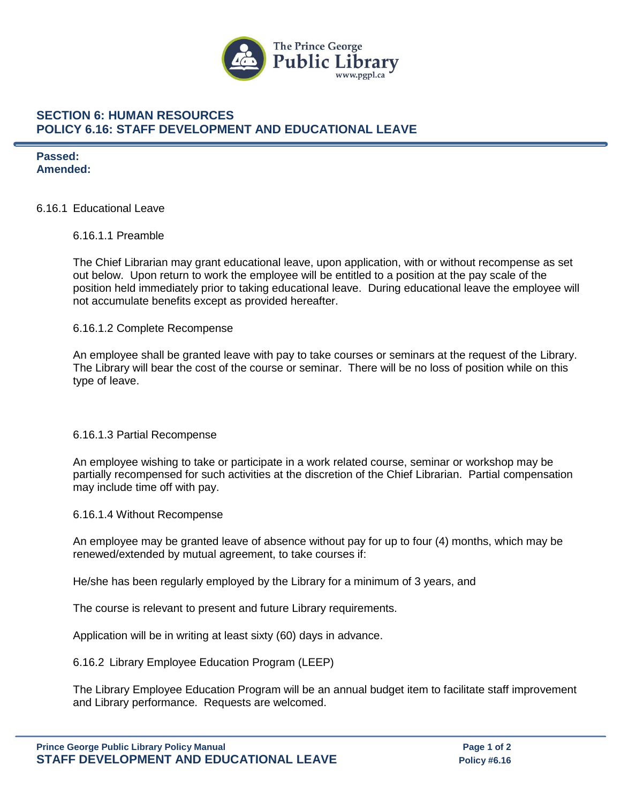

## **SECTION 6: HUMAN RESOURCES POLICY 6.16: STAFF DEVELOPMENT AND EDUCATIONAL LEAVE**

**Passed: Amended:**

### 6.16.1 Educational Leave

### 6.16.1.1 Preamble

The Chief Librarian may grant educational leave, upon application, with or without recompense as set out below. Upon return to work the employee will be entitled to a position at the pay scale of the position held immediately prior to taking educational leave. During educational leave the employee will not accumulate benefits except as provided hereafter.

### 6.16.1.2 Complete Recompense

An employee shall be granted leave with pay to take courses or seminars at the request of the Library. The Library will bear the cost of the course or seminar. There will be no loss of position while on this type of leave.

#### 6.16.1.3 Partial Recompense

An employee wishing to take or participate in a work related course, seminar or workshop may be partially recompensed for such activities at the discretion of the Chief Librarian. Partial compensation may include time off with pay.

6.16.1.4 Without Recompense

An employee may be granted leave of absence without pay for up to four (4) months, which may be renewed/extended by mutual agreement, to take courses if:

He/she has been regularly employed by the Library for a minimum of 3 years, and

The course is relevant to present and future Library requirements.

Application will be in writing at least sixty (60) days in advance.

6.16.2 Library Employee Education Program (LEEP)

The Library Employee Education Program will be an annual budget item to facilitate staff improvement and Library performance. Requests are welcomed.